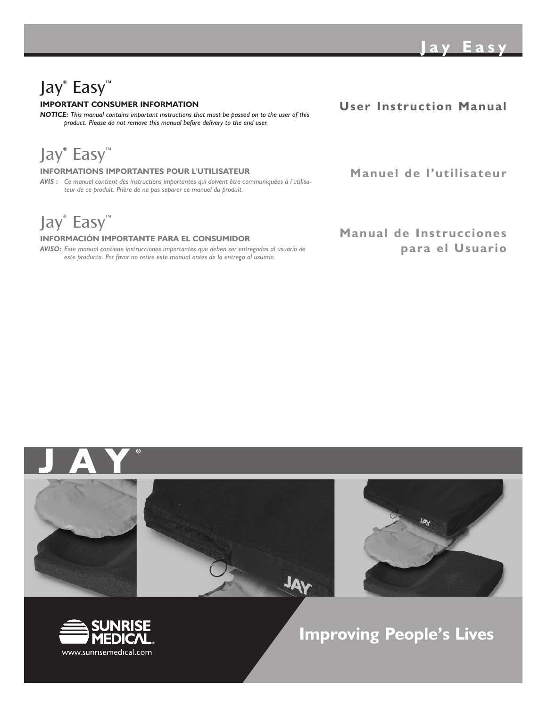# Jay® Easy™

**IMPORTANT CONSUMER INFORMATION**

*NOTICE: This manual contains important instructions that must be passed on to the user of this product. Please do not remove this manual before delivery to the end user.*

## Jay® Easy™

**INFORMATIONS IMPORTANTES POUR L'UTILISATEUR**

*AVIS : Ce manuel contient des instructions importantes qui doivent être communiquées à l'utilisateur de ce produit. Prière de ne pas separer ce manuel du produit.*

## Jay® Easy™

**INFORMACIÓN IMPORTANTE PARA EL CONSUMIDOR**

*AVISO: Este manual contiene instrucciones importantes que deben ser entregadas al usuario de este producto. Por favor no retire este manual antes de la entrega al usuario.*

**User Ins t ruction Manual**

**Manuel de l'utili sateur**

**Manual** de Instrucciones **para el Usuar io**



www.sunrisemedical.com

## **Improving People's Lives**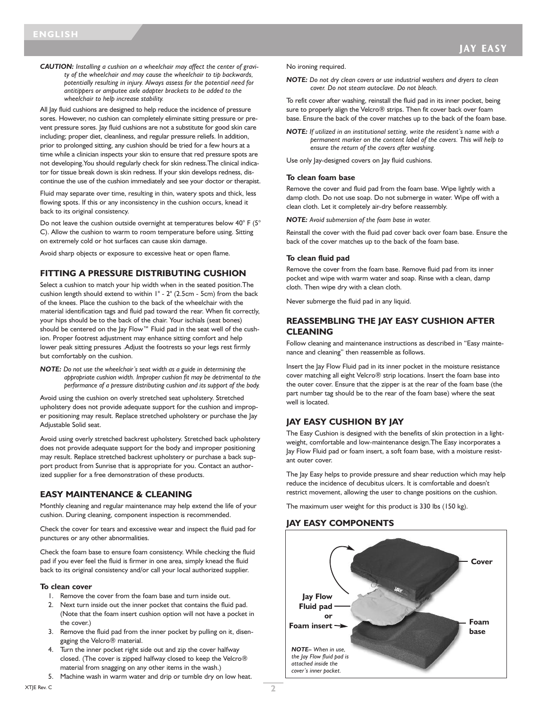*CAUTION: Installing a cushion on a wheelchair may affect the center of gravity of the wheelchair and may cause the wheelchair to tip backwards, potentially resulting in injury. Always assess for the potential need for antitippers or amputee axle adapter brackets to be added to the wheelchair to help increase stability.*

All Jay fluid cushions are designed to help reduce the incidence of pressure sores. However, no cushion can completely eliminate sitting pressure or prevent pressure sores. Jay fluid cushions are not a substitute for good skin care including; proper diet, cleanliness, and regular pressure reliefs. In addition, prior to prolonged sitting, any cushion should be tried for a few hours at a time while a clinician inspects your skin to ensure that red pressure spots are not developing.You should regularly check for skin redness.The clinical indicator for tissue break down is skin redness. If your skin develops redness, discontinue the use of the cushion immediately and see your doctor or therapist.

Fluid may separate over time, resulting in thin, watery spots and thick, less flowing spots. If this or any inconsistency in the cushion occurs, knead it back to its original consistency.

Do not leave the cushion outside overnight at temperatures below 40°F (5° C). Allow the cushion to warm to room temperature before using. Sitting on extremely cold or hot surfaces can cause skin damage.

Avoid sharp objects or exposure to excessive heat or open flame.

### **FITTING A PRESSURE DISTRIBUTING CUSHION**

Select a cushion to match your hip width when in the seated position.The cushion length should extend to within 1" - 2" (2.5cm - 5cm) from the back of the knees. Place the cushion to the back of the wheelchair with the material identification tags and fluid pad toward the rear. When fit correctly, your hips should be to the back of the chair. Your ischials (seat bones) should be centered on the Jay Flow™ Fluid pad in the seat well of the cushion. Proper footrest adjustment may enhance sitting comfort and help lower peak sitting pressures .Adjust the footrests so your legs rest firmly but comfortably on the cushion.

*NOTE: Do not use the wheelchair's seat width as a guide in determining the appropriate cushion width. Improper cushion fit may be detrimental to the performance of a pressure distributing cushion and its support of the body.*

Avoid using the cushion on overly stretched seat upholstery. Stretched upholstery does not provide adequate support for the cushion and improper positioning may result. Replace stretched upholstery or purchase the Jay Adjustable Solid seat.

Avoid using overly stretched backrest upholstery. Stretched back upholstery does not provide adequate support for the body and improper positioning may result. Replace stretched backrest upholstery or purchase a back support product from Sunrise that is appropriate for you. Contact an authorized supplier for a free demonstration of these products.

### **EASY MAINTENANCE & CLEANING**

Monthly cleaning and regular maintenance may help extend the life of your cushion. During cleaning, component inspection is recommended.

Check the cover for tears and excessive wear and inspect the fluid pad for punctures or any other abnormalities.

Check the foam base to ensure foam consistency. While checking the fluid pad if you ever feel the fluid is firmer in one area, simply knead the fluid back to its original consistency and/or call your local authorized supplier.

#### **To clean cover**

- 1. Remove the cover from the foam base and turn inside out.
- 2. Next turn inside out the inner pocket that contains the fluid pad. (Note that the foam insert cushion option will not have a pocket in the cover.)
- 3. Remove the fluid pad from the inner pocket by pulling on it, disengaging the Velcro® material.
- 4. Turn the inner pocket right side out and zip the cover halfway closed. (The cover is zipped halfway closed to keep the Velcro® material from snagging on any other items in the wash.)
- 5. Machine wash in warm water and drip or tumble dry on low heat.

#### No ironing required.

*NOTE: Do not dry clean covers or use industrial washers and dryers to clean cover. Do not steam autoclave. Do not bleach.*

To refit cover after washing, reinstall the fluid pad in its inner pocket, being sure to properly align the Velcro® strips. Then fit cover back over foam base. Ensure the back of the cover matches up to the back of the foam base.

*NOTE: If utilized in an institutional setting, write the resident's name with a permanent marker on the content label of the covers. This will help to ensure the return of the covers after washing.*

Use only Jay-designed covers on Jay fluid cushions.

#### **To clean foam base**

Remove the cover and fluid pad from the foam base. Wipe lightly with a damp cloth. Do not use soap. Do not submerge in water. Wipe off with a clean cloth. Let it completely air-dry before reassembly.

*NOTE: Avoid submersion of the foam base in water.*

Reinstall the cover with the fluid pad cover back over foam base. Ensure the back of the cover matches up to the back of the foam base.

#### **To clean fluid pad**

Remove the cover from the foam base. Remove fluid pad from its inner pocket and wipe with warm water and soap. Rinse with a clean, damp cloth. Then wipe dry with a clean cloth.

Never submerge the fluid pad in any liquid.

## **REASSEMBLING THE JAY EASY CUSHION AFTER CLEANING**

Follow cleaning and maintenance instructions as described in "Easy maintenance and cleaning" then reassemble as follows.

Insert the Jay Flow Fluid pad in its inner pocket in the moisture resistance cover matching all eight Velcro® strip locations. Insert the foam base into the outer cover. Ensure that the zipper is at the rear of the foam base (the part number tag should be to the rear of the foam base) where the seat well is located.

#### **JAY EASY CUSHION BY JAY**

The Easy Cushion is designed with the benefits of skin protection in a lightweight, comfortable and low-maintenance design.The Easy incorporates a Jay Flow Fluid pad or foam insert, a soft foam base, with a moisture resistant outer cover.

The Jay Easy helps to provide pressure and shear reduction which may help reduce the incidence of decubitus ulcers. It is comfortable and doesn't restrict movement, allowing the user to change positions on the cushion.

The maximum user weight for this product is 330 lbs (150 kg).

### **JAY EASY COMPONENTS**

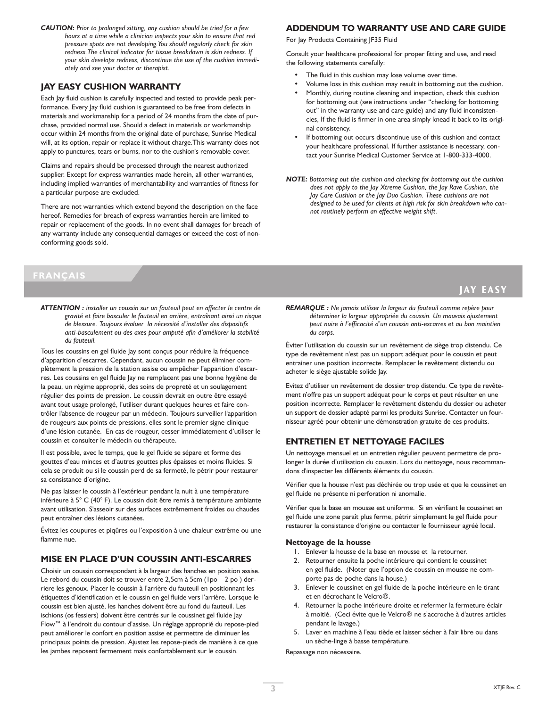*CAUTION: Prior to prolonged sitting, any cushion should be tried for a few hours at a time while a clinician inspects your skin to ensure that red pressure spots are not developing.You should regularly check for skin redness.The clinical indicator for tissue breakdown is skin redness. If your skin develops redness, discontinue the use of the cushion immediately and see your doctor or therapist.*

## **JAY EASY CUSHION WARRANTY**

Each Jay fluid cushion is carefully inspected and tested to provide peak performance. Every Jay fluid cushion is guaranteed to be free from defects in materials and workmanship for a period of 24 months from the date of purchase, provided normal use. Should a defect in materials or workmanship occur within 24 months from the original date of purchase, Sunrise Medical will, at its option, repair or replace it without charge.This warranty does not apply to punctures, tears or burns, nor to the cushion's removable cover.

Claims and repairs should be processed through the nearest authorized supplier. Except for express warranties made herein, all other warranties, including implied warranties of merchantability and warranties of fitness for a particular purpose are excluded.

There are not warranties which extend beyond the description on the face hereof. Remedies for breach of express warranties herein are limited to repair or replacement of the goods. In no event shall damages for breach of any warranty include any consequential damages or exceed the cost of nonconforming goods sold.

## **ADDENDUM TO WARRANTY USE AND CARE GUIDE**

For Jay Products Containing JF35 Fluid

Consult your healthcare professional for proper fitting and use, and read the following statements carefully:

- The fluid in this cushion may lose volume over time.
- Volume loss in this cushion may result in bottoming out the cushion.
- Monthly, during routine cleaning and inspection, check this cushion for bottoming out (see instructions under "checking for bottoming out" in the warranty use and care guide) and any fluid inconsistencies, If the fluid is firmer in one area simply knead it back to its original consistency.
- If bottoming out occurs discontinue use of this cushion and contact your healthcare professional. If further assistance is necessary, contact your Sunrise Medical Customer Service at 1-800-333-4000.
- *NOTE: Bottoming out the cushion and checking for bottoming out the cushion does not apply to the Jay Xtreme Cushion, the Jay Rave Cushion, the Jay Care Cushion or the Jay Duo Cushion. These cushions are not designed to be used for clients at high risk for skin breakdown who cannot routinely perform an effective weight shift.*

## **FRANÇAIS**

*ATTENTION : installer un coussin sur un fauteuil peut en affecter le centre de gravité et faire basculer le fauteuil en arrière, entraînant ainsi un risque de blessure. Toujours évaluer la nécessité d'installer des dispositifs anti-basculement ou des axes pour amputé afin d'améliorer la stabilité du fauteuil.*

Tous les coussins en gel fluide lay sont conçus pour réduire la fréquence d'apparition d'escarres. Cependant, aucun coussin ne peut éliminer complètement la pression de la station assise ou empêcher l'apparition d'escarres. Les coussins en gel fluide Jay ne remplacent pas une bonne hygiène de la peau, un régime approprié, des soins de propreté et un soulagement régulier des points de pression. Le coussin devrait en outre être essayé avant tout usage prolongé, l'utiliser durant quelques heures et faire contrôler l'absence de rougeur par un médecin. Toujours surveiller l'apparition de rougeurs aux points de pressions, elles sont le premier signe clinique d'une lésion cutanée. En cas de rougeur, cesser immédiatement d'utiliser le coussin et consulter le médecin ou thérapeute.

Il est possible, avec le temps, que le gel fluide se sépare et forme des gouttes d'eau minces et d'autres gouttes plus épaisses et moins fluides. Si cela se produit ou si le coussin perd de sa fermeté, le pétrir pour restaurer sa consistance d'origine.

Ne pas laisser le coussin à l'extérieur pendant la nuit à une température inférieure à 5° C (40° F). Le coussin doit être remis à température ambiante avant utilisation. S'asseoir sur des surfaces extrêmement froides ou chaudes peut entraîner des lésions cutanées.

Évitez les coupures et piqûres ou l'exposition à une chaleur extrême ou une flamme nue.

## **MISE EN PLACE D'UN COUSSIN ANTI-ESCARRES**

Choisir un coussin correspondant à la largeur des hanches en position assise. Le rebord du coussin doit se trouver entre 2,5cm à 5cm (1po – 2 po ) derriere les genoux. Placer le coussin à l'arrière du fauteuil en positionnant les étiquettes d'identification et le coussin en gel fluide vers l'arrière. Lorsque le coussin est bien ajusté, les hanches doivent être au fond du fauteuil. Les ischions (os fessiers) doivent être centrés sur le coussinet gel fluide Jay Flow™ à l'endroit du contour d'assise. Un réglage approprié du repose-pied peut améliorer le confort en position assise et permettre de diminuer les principaux points de pression. Ajustez les repose-pieds de manière à ce que les jambes reposent fermement mais confortablement sur le coussin.

#### *REMARQUE : Ne jamais utiliser la largeur du fauteuil comme repère pour déterminer la largeur appropriée du coussin. Un mauvais ajustement peut nuire à l'efficacité d'un coussin anti-escarres et au bon maintien du corps.*

**JAY EASY**

Éviter l'utilisation du coussin sur un revêtement de siège trop distendu. Ce type de revêtement n'est pas un support adéquat pour le coussin et peut entrainer une position incorrecte. Remplacer le revêtement distendu ou acheter le siège ajustable solide Jay.

Evitez d'utiliser un revêtement de dossier trop distendu. Ce type de revêtement n'offre pas un support adéquat pour le corps et peut résulter en une position incorrecte. Remplacer le revêtement distendu du dossier ou acheter un support de dossier adapté parmi les produits Sunrise. Contacter un fournisseur agréé pour obtenir une démonstration gratuite de ces produits.

## **ENTRETIEN ET NETTOYAGE FACILES**

Un nettoyage mensuel et un entretien régulier peuvent permettre de prolonger la durée d'utilisation du coussin. Lors du nettoyage, nous recommandons d'inspecter les différents éléments du coussin.

Vérifier que la housse n'est pas déchirée ou trop usée et que le coussinet en gel fluide ne présente ni perforation ni anomalie.

Vérifier que la base en mousse est uniforme. Si en vérifiant le coussinet en gel fluide une zone paraît plus ferme, pétrir simplement le gel fluide pour restaurer la consistance d'origine ou contacter le fournisseur agréé local.

#### **Nettoyage de la housse**

- 1. Enlever la housse de la base en mousse et la retourner.
- 2. Retourner ensuite la poche intérieure qui contient le coussinet en gel fluide. (Noter que l'option de coussin en mousse ne comporte pas de poche dans la house.)
- 3. Enlever le coussinet en gel fluide de la poche intérieure en le tirant et en décrochant le Velcro®.
- 4. Retourner la poche intérieure droite et refermer la fermeture éclair à moitié. (Ceci évite que le Velcro® ne s'accroche à d'autres articles pendant le lavage.)
- 5. Laver en machine à l'eau tiède et laisser sécher à l'air libre ou dans un sèche-linge à basse température.

Repassage non nécessaire.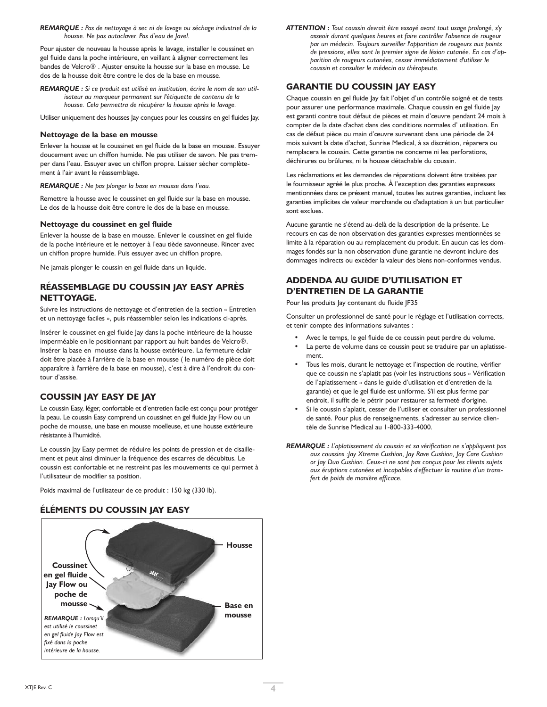*REMARQUE : Pas de nettoyage à sec ni de lavage ou séchage industriel de la housse. Ne pas autoclaver. Pas d'eau de Javel.*

Pour ajuster de nouveau la housse après le lavage, installer le coussinet en gel fluide dans la poche intérieure, en veillant à aligner correctement les bandes de Velcro® . Ajuster ensuite la housse sur la base en mousse. Le dos de la housse doit être contre le dos de la base en mousse.

*REMARQUE : Si ce produit est utilisé en institution, écrire le nom de son utilisateur au marqueur permanent sur l'étiquette de contenu de la housse. Cela permettra de récupérer la housse après le lavage.*

Utiliser uniquement des housses Jay conçues pour les coussins en gel fluides Jay.

#### **Nettoyage de la base en mousse**

Enlever la housse et le coussinet en gel fluide de la base en mousse. Essuyer doucement avec un chiffon humide. Ne pas utiliser de savon. Ne pas tremper dans l'eau. Essuyer avec un chiffon propre. Laisser sécher complètement à l'air avant le réassemblage.

#### *REMARQUE : Ne pas plonger la base en mousse dans l'eau.*

Remettre la housse avec le coussinet en gel fluide sur la base en mousse. Le dos de la housse doit être contre le dos de la base en mousse.

## **Nettoyage du coussinet en gel fluide**

Enlever la housse de la base en mousse. Enlever le coussinet en gel fluide de la poche intérieure et le nettoyer à l'eau tiède savonneuse. Rincer avec un chiffon propre humide. Puis essuyer avec un chiffon propre.

Ne jamais plonger le coussin en gel fluide dans un liquide.

## **RÉASSEMBLAGE DU COUSSIN JAY EASY APRÈS NETTOYAGE.**

Suivre les instructions de nettoyage et d'entretien de la section « Entretien et un nettoyage faciles », puis réassembler selon les indications ci-après.

Insérer le coussinet en gel fluide lay dans la poche intérieure de la housse imperméable en le positionnant par rapport au huit bandes de Velcro®. Insérer la base en mousse dans la housse extérieure. La fermeture éclair doit être placée à l'arrière de la base en mousse ( le numéro de pièce doit apparaître à l'arrière de la base en mousse), c'est à dire à l'endroit du contour d'assise.

## **COUSSIN JAY EASY DE JAY**

Le coussin Easy, léger, confortable et d'entretien facile est conçu pour protéger la peau. Le coussin Easy comprend un coussinet en gel fluide lay Flow ou un poche de mousse, une base en mousse moelleuse, et une housse extérieure résistante à l'humidité.

Le coussin Jay Easy permet de réduire les points de pression et de cisaillement et peut ainsi diminuer la fréquence des escarres de décubitus. Le coussin est confortable et ne restreint pas les mouvements ce qui permet à l'utilisateur de modifier sa position.

Poids maximal de l'utilisateur de ce produit : 150 kg (330 lb).

## **ÉLÉMENTS DU COUSSIN JAY EASY**



*ATTENTION : Tout coussin devrait être essayé avant tout usage prolongé, s'y asseoir durant quelques heures et faire contrôler l'absence de rougeur par un médecin. Toujours surveiller l'apparition de rougeurs aux points de pressions, elles sont le premier signe de lésion cutanée. En cas d'apparition de rougeurs cutanées, cesser immédiatement d'utiliser le coussin et consulter le médecin ou thérapeute.*

## **GARANTIE DU COUSSIN JAY EASY**

Chaque coussin en gel fluide Jay fait l'objet d'un contrôle soigné et de tests pour assurer une performance maximale. Chaque coussin en gel fluide Jay est garanti contre tout défaut de pièces et main d'œuvre pendant 24 mois à compter de la date d'achat dans des conditions normales d' utilisation. En cas de défaut pièce ou main d'œuvre survenant dans une période de 24 mois suivant la date d'achat, Sunrise Medical, à sa discrétion, réparera ou remplacera le coussin. Cette garantie ne concerne ni les perforations, déchirures ou brûlures, ni la housse détachable du coussin.

Les réclamations et les demandes de réparations doivent être traitées par le fournisseur agréé le plus proche. À l'exception des garanties expresses mentionnées dans ce présent manuel, toutes les autres garanties, incluant les garanties implicites de valeur marchande ou d'adaptation à un but particulier sont exclues.

Aucune garantie ne s'étend au-delà de la description de la présente. Le recours en cas de non observation des garanties expresses mentionnées se limite à la réparation ou au remplacement du produit. En aucun cas les dommages fondés sur la non observation d'une garantie ne devront inclure des dommages indirects ou excèder la valeur des biens non-conformes vendus.

## **ADDENDA AU GUIDE D'UTILISATION ET D'ENTRETIEN DE LA GARANTIE**

Pour les produits Jay contenant du fluide JF35

Consulter un professionnel de santé pour le réglage et l'utilisation corrects, et tenir compte des informations suivantes :

- Avec le temps, le gel fluide de ce coussin peut perdre du volume.
- La perte de volume dans ce coussin peut se traduire par un aplatissement.
- Tous les mois, durant le nettoyage et l'inspection de routine, vérifier que ce coussin ne s'aplatit pas (voir les instructions sous « Vérification de l'aplatissement » dans le guide d'utilisation et d'entretien de la garantie) et que le gel fluide est uniforme. S'il est plus ferme par endroit, il suffit de le pétrir pour restaurer sa fermeté d'origine.
- Si le coussin s'aplatit, cesser de l'utiliser et consulter un professionnel de santé. Pour plus de renseignements, s'adresser au service clientèle de Sunrise Medical au 1-800-333-4000.

*REMARQUE : L'aplatissement du coussin et sa vérification ne s'appliquent pas aux coussins :Jay Xtreme Cushion, Jay Rave Cushion, Jay Care Cushion or Jay Duo Cushion. Ceux-ci ne sont pas conçus pour les clients sujets aux éruptions cutanées et incapables d'effectuer la routine d'un transfert de poids de manière efficace.*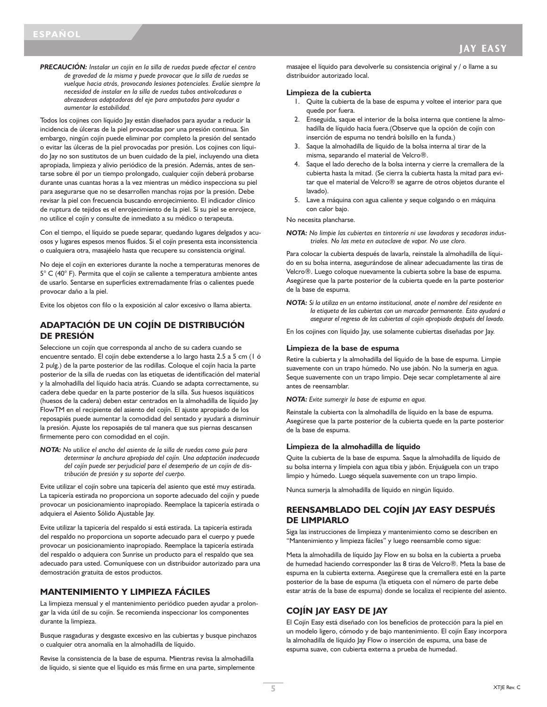*PRECAUCIÓN: Instalar un cojín en la silla de ruedas puede afectar el centro de gravedad de la misma y puede provocar que la silla de ruedas se vuelque hacia atrás, provocando lesiones potenciales. Evalúe siempre la necesidad de instalar en la silla de ruedas tubos antivolcaduras o abrazaderas adaptadoras del eje para amputados para ayudar a aumentar la estabilidad.*

Todos los cojines con líquido Jay están diseñados para ayudar a reducir la incidencia de úlceras de la piel provocadas por una presión continua. Sin embargo, ningún cojín puede eliminar por completo la presión del sentado o evitar las úlceras de la piel provocadas por presión. Los cojines con líquido Jay no son sustitutos de un buen cuidado de la piel, incluyendo una dieta apropiada, limpieza y alivio periódico de la presión. Además, antes de sentarse sobre él por un tiempo prolongado, cualquier cojín deberá probarse durante unas cuantas horas a la vez mientras un médico inspecciona su piel para asegurarse que no se desarrollen manchas rojas por la presión. Debe revisar la piel con frecuencia buscando enrojecimiento. El indicador clínico de ruptura de tejidos es el enrojecimiento de la piel. Si su piel se enrojece, no utilice el cojín y consulte de inmediato a su médico o terapeuta.

Con el tiempo, el líquido se puede separar, quedando lugares delgados y acuosos y lugares espesos menos fluidos. Si el cojín presenta esta inconsistencia o cualquiera otra, masajéelo hasta que recupere su consistencia original.

No deje el cojín en exteriores durante la noche a temperaturas menores de 5° C (40° F). Permita que el cojín se caliente a temperatura ambiente antes de usarlo. Sentarse en superficies extremadamente frías o calientes puede provocar daño a la piel.

Evite los objetos con filo o la exposición al calor excesivo o llama abierta.

## **ADAPTACIÓN DE UN COJÍN DE DISTRIBUCIÓN DE PRESIÓN**

Seleccione un cojín que corresponda al ancho de su cadera cuando se encuentre sentado. El cojín debe extenderse a lo largo hasta 2.5 a 5 cm (1 ó 2 pulg.) de la parte posterior de las rodillas. Coloque el cojín hacia la parte posterior de la silla de ruedas con las etiquetas de identificación del material y la almohadilla del líquido hacia atrás. Cuando se adapta correctamente, su cadera debe quedar en la parte posterior de la silla. Sus huesos isquiáticos (huesos de la cadera) deben estar centrados en la almohadilla de líquido Jay FlowTM en el recipiente del asiento del cojín. El ajuste apropiado de los reposapiés puede aumentar la comodidad del sentado y ayudará a disminuir la presión. Ajuste los reposapiés de tal manera que sus piernas descansen firmemente pero con comodidad en el cojín.

*NOTA: No utilice el ancho del asiento de la silla de ruedas como guía para determinar la anchura apropiada del cojín. Una adaptación inadecuada del cojín puede ser perjudicial para el desempeño de un cojín de distribución de presión y su soporte del cuerpo.*

Evite utilizar el cojín sobre una tapicería del asiento que esté muy estirada. La tapicería estirada no proporciona un soporte adecuado del cojín y puede provocar un posicionamiento inapropiado. Reemplace la tapicería estirada o adquiera el Asiento Sólido Ajustable Jay.

Evite utilizar la tapicería del respaldo si está estirada. La tapicería estirada del respaldo no proporciona un soporte adecuado para el cuerpo y puede provocar un posicionamiento inapropiado. Reemplace la tapicería estirada del respaldo o adquiera con Sunrise un producto para el respaldo que sea adecuado para usted. Comuníquese con un distribuidor autorizado para una demostración gratuita de estos productos.

## **MANTENIMIENTO Y LIMPIEZA FÁCILES**

La limpieza mensual y el mantenimiento periódico pueden ayudar a prolongar la vida útil de su cojín. Se recomienda inspeccionar los componentes durante la limpieza.

Busque rasgaduras y desgaste excesivo en las cubiertas y busque pinchazos o cualquier otra anomalía en la almohadilla de líquido.

Revise la consistencia de la base de espuma. Mientras revisa la almohadilla de líquido, si siente que el líquido es más firme en una parte, simplemente masajee el líquido para devolverle su consistencia original y / o llame a su distribuidor autorizado local.

#### **Limpieza de la cubierta**

- 1. Quite la cubierta de la base de espuma y voltee el interior para que quede por fuera.
- 2. Enseguida, saque el interior de la bolsa interna que contiene la almohadilla de líquido hacia fuera.(Observe que la opción de cojín con inserción de espuma no tendrá bolsillo en la funda.)
- 3. Saque la almohadilla de líquido de la bolsa interna al tirar de la misma, separando el material de Velcro®.
- 4. Saque el lado derecho de la bolsa interna y cierre la cremallera de la cubierta hasta la mitad. (Se cierra la cubierta hasta la mitad para evitar que el material de Velcro® se agarre de otros objetos durante el lavado).
- 5. Lave a máquina con agua caliente y seque colgando o en máquina con calor bajo.

No necesita plancharse.

*NOTA: No limpie las cubiertas en tintorería ni use lavadoras y secadoras industriales. No las meta en autoclave de vapor. No use cloro.*

Para colocar la cubierta después de lavarla, reinstale la almohadilla de líquido en su bolsa interna, asegurándose de alinear adecuadamente las tiras de Velcro®. Luego coloque nuevamente la cubierta sobre la base de espuma. Asegúrese que la parte posterior de la cubierta quede en la parte posterior de la base de espuma.

*NOTA: Si la utiliza en un entorno institucional, anote el nombre del residente en la etiqueta de las cubiertas con un marcador permanente. Esto ayudará a asegurar el regreso de las cubiertas al cojín apropiado después del lavado.*

En los cojines con líquido Jay, use solamente cubiertas diseñadas por Jay.

#### **Limpieza de la base de espuma**

Retire la cubierta y la almohadilla del líquido de la base de espuma. Limpie suavemente con un trapo húmedo. No use jabón. No la sumerja en agua. Seque suavemente con un trapo limpio. Deje secar completamente al aire antes de reensamblar.

*NOTA: Evite sumergir la base de espuma en agua.*

Reinstale la cubierta con la almohadilla de líquido en la base de espuma. Asegúrese que la parte posterior de la cubierta quede en la parte posterior de la base de espuma.

#### **Limpieza de la almohadilla de líquido**

Quite la cubierta de la base de espuma. Saque la almohadilla de líquido de su bolsa interna y límpiela con agua tibia y jabón. Enjuáguela con un trapo limpio y húmedo. Luego séquela suavemente con un trapo limpio.

Nunca sumerja la almohadilla de líquido en ningún líquido.

## **REENSAMBLADO DEL COJÍN JAY EASY DESPUÉS DE LIMPIARLO**

Siga las instrucciones de limpieza y mantenimiento como se describen en "Mantenimiento y limpieza fáciles" y luego reensamble como sigue:

Meta la almohadilla de líquido Jay Flow en su bolsa en la cubierta a prueba de humedad haciendo corresponder las 8 tiras de Velcro®. Meta la base de espuma en la cubierta externa. Asegúrese que la cremallera esté en la parte posterior de la base de espuma (la etiqueta con el número de parte debe estar atrás de la base de espuma) donde se localiza el recipiente del asiento.

## **COJÍN JAY EASY DE JAY**

El Cojín Easy está diseñado con los beneficios de protección para la piel en un modelo ligero, cómodo y de bajo mantenimiento. El cojín Easy incorpora la almohadilla de líquido Jay Flow o inserción de espuma, una base de espuma suave, con cubierta externa a prueba de humedad.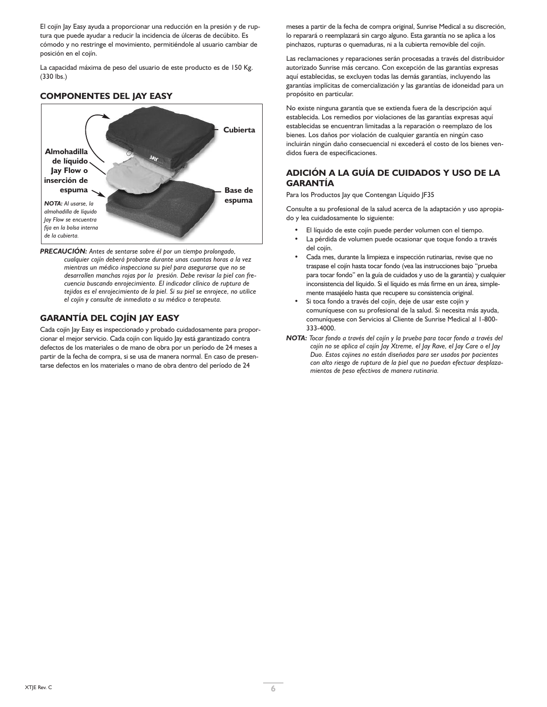El coiín lay Easy ayuda a proporcionar una reducción en la presión y de ruptura que puede ayudar a reducir la incidencia de úlceras de decúbito. Es cómodo y no restringe el movimiento, permitiéndole al usuario cambiar de posición en el cojín.

La capacidad máxima de peso del usuario de este producto es de 150 Kg. (330 lbs.)

## **COMPONENTES DEL JAY EASY**



*PRECAUCIÓN: Antes de sentarse sobre él por un tiempo prolongado, cualquier cojín deberá probarse durante unas cuantas horas a la vez mientras un médico inspecciona su piel para asegurarse que no se desarrollen manchas rojas por la presión. Debe revisar la piel con frecuencia buscando enrojecimiento. El indicador clínico de ruptura de tejidos es el enrojecimiento de la piel. Si su piel se enrojece, no utilice el cojín y consulte de inmediato a su médico o terapeuta.*

## **GARANTÍA DEL COJÍN JAY EASY**

Cada cojín Jay Easy es inspeccionado y probado cuidadosamente para proporcionar el mejor servicio. Cada cojín con líquido Jay está garantizado contra defectos de los materiales o de mano de obra por un período de 24 meses a partir de la fecha de compra, si se usa de manera normal. En caso de presentarse defectos en los materiales o mano de obra dentro del período de 24

meses a partir de la fecha de compra original, Sunrise Medical a su discreción, lo reparará o reemplazará sin cargo alguno. Esta garantía no se aplica a los pinchazos, rupturas o quemaduras, ni a la cubierta removible del cojín.

Las reclamaciones y reparaciones serán procesadas a través del distribuidor autorizado Sunrise más cercano. Con excepción de las garantías expresas aquí establecidas, se excluyen todas las demás garantías, incluyendo las garantías implícitas de comercialización y las garantías de idoneidad para un propósito en particular.

No existe ninguna garantía que se extienda fuera de la descripción aquí establecida. Los remedios por violaciones de las garantías expresas aquí establecidas se encuentran limitadas a la reparación o reemplazo de los bienes. Los daños por violación de cualquier garantía en ningún caso incluirán ningún daño consecuencial ni excederá el costo de los bienes vendidos fuera de especificaciones.

## **ADICIÓN A LA GUÍA DE CUIDADOS Y USO DE LA GARANTÍA**

Para los Productos Jay que Contengan Líquido JF35

Consulte a su profesional de la salud acerca de la adaptación y uso apropiado y lea cuidadosamente lo siguiente:

- El líquido de este cojín puede perder volumen con el tiempo.
- La pérdida de volumen puede ocasionar que toque fondo a través del cojín.
- Cada mes, durante la limpieza e inspección rutinarias, revise que no traspase el cojín hasta tocar fondo (vea las instrucciones bajo "prueba para tocar fondo" en la guía de cuidados y uso de la garantía) y cualquier inconsistencia del líquido. Si el líquido es más firme en un área, simplemente masajéelo hasta que recupere su consistencia original.
- Si toca fondo a través del cojín, deje de usar este cojín y comuníquese con su profesional de la salud. Si necesita más ayuda, comuníquese con Servicios al Cliente de Sunrise Medical al 1-800- 333-4000.
- *NOTA: Tocar fondo a través del cojín y la prueba para tocar fondo a través del cojín no se aplica al cojín Jay Xtreme, el Jay Rave, el Jay Care o el Jay Duo. Estos cojines no están diseñados para ser usados por pacientes con alto riesgo de ruptura de la piel que no puedan efectuar desplazamientos de peso efectivos de manera rutinaria.*